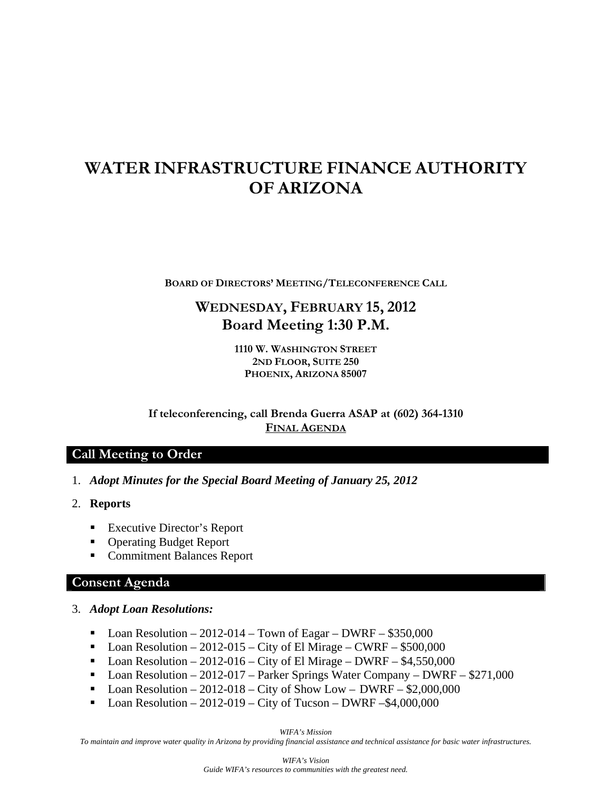# **WATER INFRASTRUCTURE FINANCE AUTHORITY OF ARIZONA**

**BOARD OF DIRECTORS' MEETING/TELECONFERENCE CALL**

# **WEDNESDAY, FEBRUARY 15, 2012 Board Meeting 1:30 P.M.**

**1110 W. WASHINGTON STREET 2ND FLOOR, SUITE 250 PHOENIX, ARIZONA 85007** 

**If teleconferencing, call Brenda Guerra ASAP at (602) 364-1310 FINAL AGENDA**

#### **Call Meeting to Order**

- 1. *Adopt Minutes for the Special Board Meeting of January 25, 2012*
- 2. **Reports** 
	- Executive Director's Report
	- Operating Budget Report
	- Commitment Balances Report

# **Consent Agenda**

#### 3. *Adopt Loan Resolutions:*

- Loan Resolution 2012-014 Town of Eagar DWRF \$350,000
- Loan Resolution 2012-015 City of El Mirage CWRF \$500,000
- Loan Resolution 2012-016 City of El Mirage DWRF  $$4,550,000$
- Loan Resolution 2012-017 Parker Springs Water Company DWRF \$271,000
- Loan Resolution 2012-018 City of Show Low DWRF  $$2,000,000$
- $\blacksquare$  Loan Resolution 2012-019 City of Tucson DWRF –\$4,000,000

*WIFA's Mission* 

*To maintain and improve water quality in Arizona by providing financial assistance and technical assistance for basic water infrastructures.*